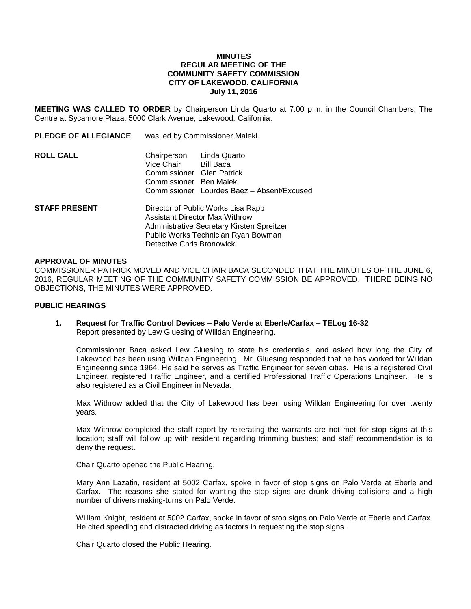### **MINUTES REGULAR MEETING OF THE COMMUNITY SAFETY COMMISSION CITY OF LAKEWOOD, CALIFORNIA July 11, 2016**

**MEETING WAS CALLED TO ORDER** by Chairperson Linda Quarto at 7:00 p.m. in the Council Chambers, The Centre at Sycamore Plaza, 5000 Clark Avenue, Lakewood, California.

**PLEDGE OF ALLEGIANCE** was led by Commissioner Maleki.

**ROLL CALL** Chairperson Linda Quarto Vice Chair Bill Baca Commissioner Glen Patrick Commissioner Ben Maleki Commissioner Lourdes Baez – Absent/Excused **STAFF PRESENT** Director of Public Works Lisa Rapp Assistant Director Max Withrow Administrative Secretary Kirsten Spreitzer Public Works Technician Ryan Bowman

Detective Chris Bronowicki

#### **APPROVAL OF MINUTES**

COMMISSIONER PATRICK MOVED AND VICE CHAIR BACA SECONDED THAT THE MINUTES OF THE JUNE 6, 2016, REGULAR MEETING OF THE COMMUNITY SAFETY COMMISSION BE APPROVED. THERE BEING NO OBJECTIONS, THE MINUTES WERE APPROVED.

### **PUBLIC HEARINGS**

**1. Request for Traffic Control Devices – Palo Verde at Eberle/Carfax – TELog 16-32** Report presented by Lew Gluesing of Willdan Engineering.

Commissioner Baca asked Lew Gluesing to state his credentials, and asked how long the City of Lakewood has been using Willdan Engineering. Mr. Gluesing responded that he has worked for Willdan Engineering since 1964. He said he serves as Traffic Engineer for seven cities. He is a registered Civil Engineer, registered Traffic Engineer, and a certified Professional Traffic Operations Engineer. He is also registered as a Civil Engineer in Nevada.

Max Withrow added that the City of Lakewood has been using Willdan Engineering for over twenty years.

Max Withrow completed the staff report by reiterating the warrants are not met for stop signs at this location; staff will follow up with resident regarding trimming bushes; and staff recommendation is to deny the request.

Chair Quarto opened the Public Hearing.

Mary Ann Lazatin, resident at 5002 Carfax, spoke in favor of stop signs on Palo Verde at Eberle and Carfax. The reasons she stated for wanting the stop signs are drunk driving collisions and a high number of drivers making-turns on Palo Verde.

William Knight, resident at 5002 Carfax, spoke in favor of stop signs on Palo Verde at Eberle and Carfax. He cited speeding and distracted driving as factors in requesting the stop signs.

Chair Quarto closed the Public Hearing.